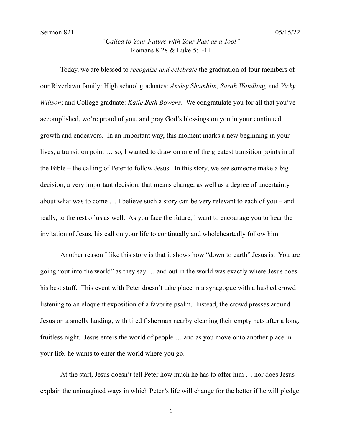## *"Called to Your Future with Your Past as a Tool"* Romans 8:28 & Luke 5:1-11

Today, we are blessed to *recognize and celebrate* the graduation of four members of our Riverlawn family: High school graduates: *Ansley Shamblin, Sarah Wandling,* and *Vicky Willson*; and College graduate: *Katie Beth Bowens*. We congratulate you for all that you've accomplished, we're proud of you, and pray God's blessings on you in your continued growth and endeavors. In an important way, this moment marks a new beginning in your lives, a transition point … so, I wanted to draw on one of the greatest transition points in all the Bible – the calling of Peter to follow Jesus. In this story, we see someone make a big decision, a very important decision, that means change, as well as a degree of uncertainty about what was to come … I believe such a story can be very relevant to each of you – and really, to the rest of us as well. As you face the future, I want to encourage you to hear the invitation of Jesus, his call on your life to continually and wholeheartedly follow him.

Another reason I like this story is that it shows how "down to earth" Jesus is. You are going "out into the world" as they say … and out in the world was exactly where Jesus does his best stuff. This event with Peter doesn't take place in a synagogue with a hushed crowd listening to an eloquent exposition of a favorite psalm. Instead, the crowd presses around Jesus on a smelly landing, with tired fisherman nearby cleaning their empty nets after a long, fruitless night. Jesus enters the world of people … and as you move onto another place in your life, he wants to enter the world where you go.

At the start, Jesus doesn't tell Peter how much he has to offer him … nor does Jesus explain the unimagined ways in which Peter's life will change for the better if he will pledge

1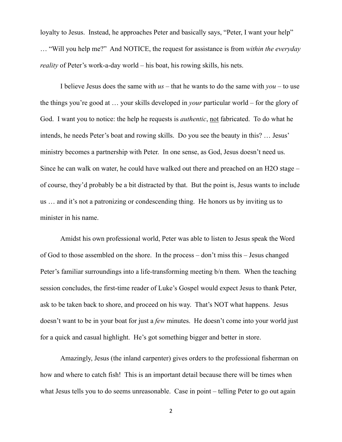loyalty to Jesus. Instead, he approaches Peter and basically says, "Peter, I want your help" … "Will you help me?" And NOTICE, the request for assistance is from *within the everyday reality* of Peter's work-a-day world – his boat, his rowing skills, his nets.

I believe Jesus does the same with *us* – that he wants to do the same with *you* – to use the things you're good at … your skills developed in *your* particular world – for the glory of God. I want you to notice: the help he requests is *authentic*, not fabricated. To do what he intends, he needs Peter's boat and rowing skills. Do you see the beauty in this? … Jesus' ministry becomes a partnership with Peter. In one sense, as God, Jesus doesn't need us. Since he can walk on water, he could have walked out there and preached on an H2O stage – of course, they'd probably be a bit distracted by that. But the point is, Jesus wants to include us … and it's not a patronizing or condescending thing. He honors us by inviting us to minister in his name.

Amidst his own professional world, Peter was able to listen to Jesus speak the Word of God to those assembled on the shore. In the process – don't miss this – Jesus changed Peter's familiar surroundings into a life-transforming meeting b/n them. When the teaching session concludes, the first-time reader of Luke's Gospel would expect Jesus to thank Peter, ask to be taken back to shore, and proceed on his way. That's NOT what happens. Jesus doesn't want to be in your boat for just a *few* minutes. He doesn't come into your world just for a quick and casual highlight. He's got something bigger and better in store.

Amazingly, Jesus (the inland carpenter) gives orders to the professional fisherman on how and where to catch fish! This is an important detail because there will be times when what Jesus tells you to do seems unreasonable. Case in point – telling Peter to go out again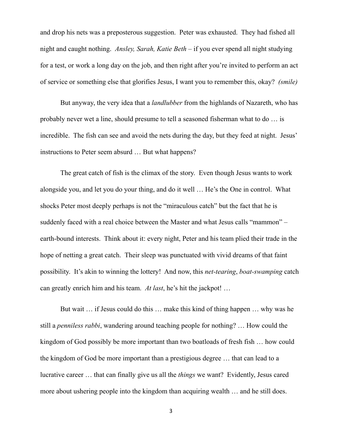and drop his nets was a preposterous suggestion. Peter was exhausted. They had fished all night and caught nothing. *Ansley, Sarah, Katie Beth* – if you ever spend all night studying for a test, or work a long day on the job, and then right after you're invited to perform an act of service or something else that glorifies Jesus, I want you to remember this, okay? *(smile)*

But anyway, the very idea that a *landlubber* from the highlands of Nazareth, who has probably never wet a line, should presume to tell a seasoned fisherman what to do … is incredible. The fish can see and avoid the nets during the day, but they feed at night. Jesus' instructions to Peter seem absurd … But what happens?

The great catch of fish is the climax of the story. Even though Jesus wants to work alongside you, and let you do your thing, and do it well … He's the One in control. What shocks Peter most deeply perhaps is not the "miraculous catch" but the fact that he is suddenly faced with a real choice between the Master and what Jesus calls "mammon" – earth-bound interests. Think about it: every night, Peter and his team plied their trade in the hope of netting a great catch. Their sleep was punctuated with vivid dreams of that faint possibility. It's akin to winning the lottery! And now, this *net-tearing*, *boat-swamping* catch can greatly enrich him and his team. *At last*, he's hit the jackpot! …

But wait … if Jesus could do this … make this kind of thing happen … why was he still a *penniless rabbi*, wandering around teaching people for nothing? … How could the kingdom of God possibly be more important than two boatloads of fresh fish … how could the kingdom of God be more important than a prestigious degree … that can lead to a lucrative career … that can finally give us all the *things* we want? Evidently, Jesus cared more about ushering people into the kingdom than acquiring wealth … and he still does.

3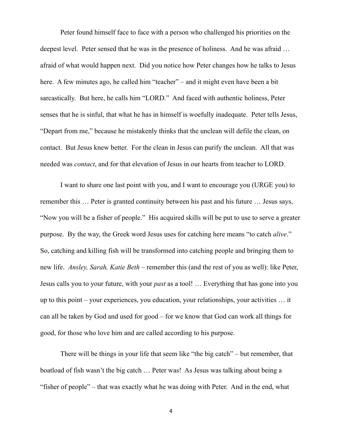Peter found himself face to face with a person who challenged his priorities on the deepest level. Peter sensed that he was in the presence of holiness. And he was afraid … afraid of what would happen next. Did you notice how Peter changes how he talks to Jesus here. A few minutes ago, he called him "teacher" – and it might even have been a bit sarcastically. But here, he calls him "LORD." And faced with authentic holiness, Peter senses that he is sinful, that what he has in himself is woefully inadequate. Peter tells Jesus, "Depart from me," because he mistakenly thinks that the unclean will defile the clean, on contact. But Jesus knew better. For the clean in Jesus can purify the unclean. All that was needed was *contact*, and for that elevation of Jesus in our hearts from teacher to LORD.

I want to share one last point with you, and I want to encourage you (URGE you) to remember this … Peter is granted continuity between his past and his future … Jesus says, "Now you will be a fisher of people." His acquired skills will be put to use to serve a greater purpose. By the way, the Greek word Jesus uses for catching here means "to catch *alive*." So, catching and killing fish will be transformed into catching people and bringing them to new life. *Ansley, Sarah, Katie Beth* – remember this (and the rest of you as well): like Peter, Jesus calls you to your future, with your *past* as a tool! … Everything that has gone into you up to this point – your experiences, you education, your relationships, your activities … it can all be taken by God and used for good – for we know that God can work all things for good, for those who love him and are called according to his purpose.

There will be things in your life that seem like "the big catch" – but remember, that boatload of fish wasn't the big catch … Peter was! As Jesus was talking about being a "fisher of people" – that was exactly what he was doing with Peter. And in the end, what